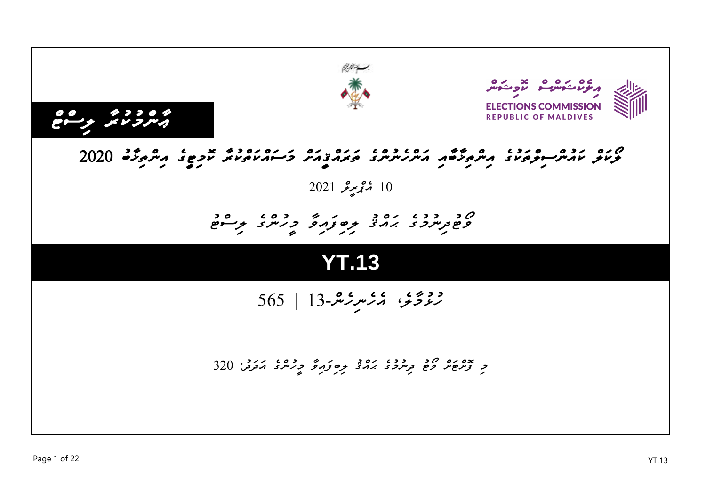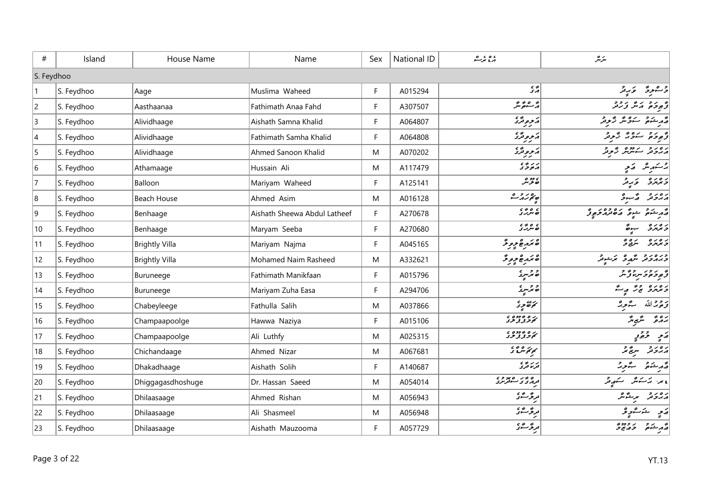| #              | Island     | House Name            | Name                         | Sex         | National ID | ، ه ، بر <u>م</u>                                             | يترمثر                                                               |
|----------------|------------|-----------------------|------------------------------|-------------|-------------|---------------------------------------------------------------|----------------------------------------------------------------------|
| S. Feydhoo     |            |                       |                              |             |             |                                                               |                                                                      |
|                | S. Feydhoo | Aage                  | Muslima Waheed               | $\mathsf F$ | A015294     | پر ج                                                          | وحشوق المرار                                                         |
| $\overline{2}$ | S. Feydhoo | Aasthaanaa            | Fathimath Anaa Fahd          | F           | A307507     | ۇ ھۇيۇ                                                        | و ده د پر دره                                                        |
| 3              | S. Feydhoo | Alividhaage           | Aishath Samna Khalid         | F           | A064807     | أزوه وزء                                                      | مەر خىم ئىسى ئىر                                                     |
| 4              | S. Feydhoo | Alividhaage           | Fathimath Samha Khalid       | F           | A064808     | ړ وه وگړي<br>مرم                                              | وٌ وَدَهِ رَهُ لاَ رَوْرٌ                                            |
| 5              | S. Feydhoo | Alividhaage           | Ahmed Sanoon Khalid          | M           | A070202     | تزووقرى                                                       | رەر ئەسەردە ئەدەر                                                    |
| 6              | S. Feydhoo | Athamaage             | Hussain Ali                  | ${\sf M}$   | A117479     | ر ر د »<br>د ه <del>د</del> د                                 | بر سکه شهر اندانی                                                    |
| $\overline{7}$ | S. Feydhoo | Balloon               | Mariyam Waheed               | F           | A125141     | ه دو ه<br>ده مرس                                              | رەرە رېر                                                             |
| $\overline{8}$ | S. Feydhoo | <b>Beach House</b>    | Ahmed Asim                   | M           | A016128     | ھەمجەر مەھ                                                    | أرەر ئەسو                                                            |
| 9              | S. Feydhoo | Benhaage              | Aishath Sheewa Abdul Latheef | F           | A270678     | ړ ه پر <sup>ي</sup>                                           | و<br>وگرشو شوه مەھىرمىي بى                                           |
| 10             | S. Feydhoo | Benhaage              | Maryam Seeba                 | F           | A270680     | ې ۵ پرې<br>خ <i>ه مرگ</i> ک                                   | ويوده بدة                                                            |
| 11             | S. Feydhoo | <b>Brightly Villa</b> | Mariyam Najma                | F           | A045165     | ە ئەرق <sub>ى</sub> بورگ                                      | ره ره پره و                                                          |
| 12             | S. Feydhoo | <b>Brightly Villa</b> | Mohamed Naim Rasheed         | M           | A332621     | ە ئەرق <sub>ى</sub> بورگ                                      | ورەرو ئەر ئەشرى                                                      |
| $ 13\rangle$   | S. Feydhoo | Buruneege             | Fathimath Manikfaan          | $\mathsf F$ | A015796     | ە ئەسرى<br>ھەمرىبرىكە                                         | ۇ بوخ <sub>ۇ</sub> خ مېرىنى ئىر                                      |
| 14             | S. Feydhoo | Buruneege             | Mariyam Zuha Easa            | F           | A294706     | ە بەر بەر<br>ھەمر س <sub>ى</sub> بە                           | رەرە دو پر                                                           |
| 15             | S. Feydhoo | Chabeyleege           | Fathulla Salih               | M           | A037866     | ري ۔<br>کوھ <del>ت</del> ر د                                  | ترة جرالله ستحجد                                                     |
| 16             | S. Feydhoo | Champaapoolge         | Hawwa Naziya                 | F           | A015106     | ړه ۶۶۶ و  .<br>کړن پر بر مر                                   | برە ئەستىبەر                                                         |
| 17             | S. Feydhoo | Champaapoolge         | Ali Luthfy                   | M           | A025315     |                                                               | أأتابع المتحافي                                                      |
| 18             | S. Feydhoo | Chichandaage          | Ahmed Nizar                  | M           | A067681     | ىمەكتەشى ئە                                                   | رەرو سۆر                                                             |
| 19             | S. Feydhoo | Dhakadhaage           | Aishath Solih                | F           | A140687     | ر ر بر بر<br>توما توى                                         | وكرمشكم الشور                                                        |
| 20             | S. Feydhoo | Dhiggagasdhoshuge     | Dr. Hassan Saeed             | M           | A054014     | ہ بھ بر ۔ ہے یو و ی<br>تورپر <sub>ک</sub> ے کسوتو <i>ہو ی</i> | ، بار کار کار دیگر در میتواند<br>در سال سالهای کار در سالهای میتواند |
| 21             | S. Feydhoo | Dhilaasaage           | Ahmed Rishan                 | M           | A056943     | ەرگۇرىچى                                                      | رەرد برىشىر                                                          |
| 22             | S. Feydhoo | Dhilaasaage           | Ali Shasmeel                 | M           | A056948     | <br>  مرگ <sup>ور می</sup> دی                                 | ړې خانونو                                                            |
| 23             | S. Feydhoo | Dhilaasaage           | Aishath Mauzooma             | F           | A057729     | ىر ئۇستىرى                                                    | انجم شده و دوده<br>انگهر شده و در دو                                 |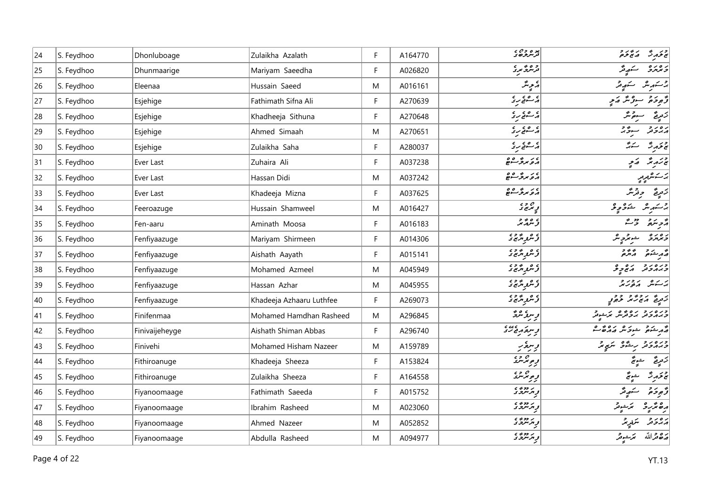| 24 | S. Feydhoo | Dhonluboage    | Zulaikha Azalath         | F         | A164770 | پر و و و و<br>تر مروض و                | پر پی تر د<br>در پخ تر ه<br>ح ئۇ م <sup>ەرج</sup>      |
|----|------------|----------------|--------------------------|-----------|---------|----------------------------------------|--------------------------------------------------------|
| 25 | S. Feydhoo | Dhunmaarige    | Mariyam Saeedha          | F.        | A026820 | د مرگر تحری <sub>ک</sub>               | ر ه ر ه<br><del>و</del> بربرو<br>سە پەتتر              |
| 26 | S. Feydhoo | Eleenaa        | Hussain Saeed            | M         | A016161 | ەمەپىتر                                | چرىسىم سىم يەش                                         |
| 27 | S. Feydhoo | Esjehige       | Fathimath Sifna Ali      | F         | A270639 | ې مه دې دي<br>مرگ مقي <sup>ا</sup> سرچ | ۇ بۇچە سوۋىتر مەر                                      |
| 28 | S. Feydhoo | Esjehige       | Khadheeja Sithuna        | F         | A270648 | ه<br> د سه ق رئ                        | ر<br>ئەرىق سوم <sup>ۇ</sup> مىر                        |
| 29 | S. Feydhoo | Esjehige       | Ahmed Simaah             | M         | A270651 | ې مه هم کې د مخ<br>مرگ                 | رەرو ب                                                 |
| 30 | S. Feydhoo | Esjehige       | Zulaikha Saha            | F         | A280037 | ې مه هم کې د مخ<br>مرگ                 | سەبىر<br>ە ئەرگە<br>ئ                                  |
| 31 | S. Feydhoo | Ever Last      | Zuhaira Ali              | F.        | A037238 | ى بە بەرگەت<br>مەن ئەرگەت مەن          | چ ئەمرىتى<br>م<br>ەتىر                                 |
| 32 | S. Feydhoo | Ever Last      | Hassan Didi              | M         | A037242 | ى بە بەرگەت<br>مەن ئەرگەت مەن          | <br> برسەمبرىر<br> -                                   |
| 33 | S. Feydhoo | Ever Last      | Khadeeja Mizna           | F         | A037625 | ى بەر بۇرماھ<br>مەكەبىر ئۇسسو          | تزميعً وفرسٌ                                           |
| 34 | S. Feydhoo | Feeroazuge     | Hussain Shamweel         | M         | A016427 | و ۶ د ه<br>پ <sub>ه</sub> ترې          | ر سكر شكر مشكر و على المحرم المحر                      |
| 35 | S. Feydhoo | Fen-aaru       | Aminath Moosa            | F         | A016183 | ا ئەشە <i>م</i> گە                     | ړ په ده ده کل                                          |
| 36 | S. Feydhoo | Fenfiyaazuge   | Mariyam Shirmeen         | F         | A014306 | ع شروع دي.<br> زينگر پرسي <sub>ک</sub> | ر ه ر ه<br>تر <del>ب</del> ر بر ژ<br>ے <i>پر تو</i> پر |
| 37 | S. Feydhoo | Fenfiyaazuge   | Aishath Aayath           | F         | A015141 | ء عروج دي.<br> و سرو پر پي             | و در در در د                                           |
| 38 | S. Feydhoo | Fenfiyaazuge   | Mohamed Azmeel           | M         | A045949 | ع شروع د و <sup>ء</sup> ِ              | בגפגב גפרב                                             |
| 39 | S. Feydhoo | Fenfiyaazuge   | Hassan Azhar             | M         | A045955 | م شروع دي.<br>مستوفق ترجم              | برسەش ئەۋرىر                                           |
| 40 | S. Feydhoo | Fenfiyaazuge   | Khadeeja Azhaaru Luthfee | F         | A269073 | ژیمو پژیز                              | ژىرى   د د د د د و د پ                                 |
| 41 | S. Feydhoo | Finifenmaa     | Mohamed Hamdhan Rasheed  | M         | A296845 | وبيرو مردّ                             | وره رو ره په ه کرشونو<br>د بر بروترس کرشونر            |
| 42 | S. Feydhoo | Finivaijeheyge | Aishath Shiman Abbas     | F.        | A296740 | ا پی سرچ درج سرچ<br>سرچ سرچ            | و د شکاه استاد به در داده ک                            |
| 43 | S. Feydhoo | Finivehi       | Mohamed Hisham Nazeer    | M         | A159789 | و سرهٔ سر                              | ورەرو رىشۇ سەر                                         |
| 44 | S. Feydhoo | Fithiroanuge   | Khadeeja Sheeza          | F         | A153824 | وهو تروء                               | ر <i>ُ مِنْ شَبِيُّ</i>                                |
| 45 | S. Feydhoo | Fithiroanuge   | Zulaikha Sheeza          | F         | A164558 | وهو ترينج                              | چ ئۇ م <sup>ەش</sup> ر<br>سنويح                        |
| 46 | S. Feydhoo | Fiyanoomaage   | Fathimath Saeeda         | F         | A015752 | ر دوه و.<br>و در سرچ د                 | وُمِورَهُ سَهْدٍ وَ                                    |
| 47 | S. Feydhoo | Fiyanoomaage   | Ibrahim Rasheed          | M         | A023060 | ر دوه و.<br>د پرسرچر                   | ە ھەترىرى<br>برھەترىرى<br>ىمەسىيە قر                   |
| 48 | S. Feydhoo | Fiyanoomaage   | Ahmed Nazeer             | M         | A052852 | ر دور د<br>و مرسرچ د                   | ر ه ر د<br>د پر <del>د</del> تر<br>ىئىغرىتى            |
| 49 | S. Feydhoo | Fiyanoomaage   | Abdulla Rasheed          | ${\sf M}$ | A094977 | <br>  پوهر پرچ <sub>ک</sub>            | رەقراللە كمەئدىر                                       |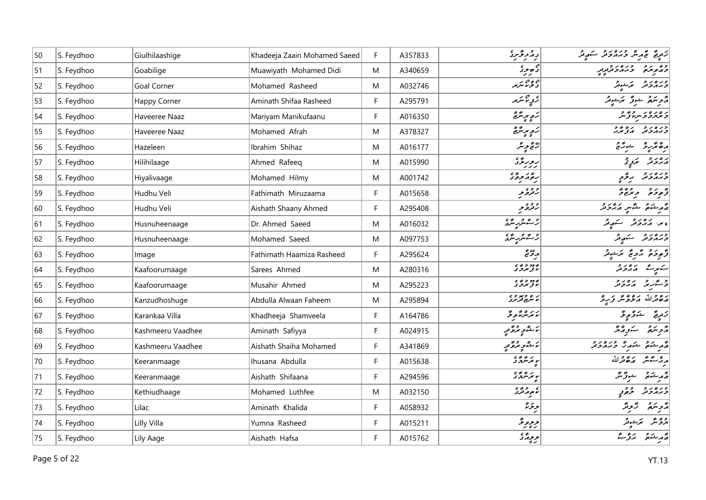| 50 | S. Feydhoo | Giulhilaashige    | Khadeeja Zaain Mohamed Saeed | F  | A357833 | بر قرىر تخرىر <sup>ى</sup>            | تربيع تجمه والمروبر المتهار         |
|----|------------|-------------------|------------------------------|----|---------|---------------------------------------|-------------------------------------|
| 51 | S. Feydhoo | Goabilige         | Muawiyath Mohamed Didi       | M  | A340659 | اي<br>ارگەم دى<br>D 20                | وه دو ورەروپور                      |
| 52 | S. Feydhoo | Goal Corner       | Mohamed Rasheed              | M  | A032746 | ە دەپرىيە<br>دىمەتتەپر                | ورورو كرشوتر                        |
| 53 | S. Feydhoo | Happy Corner      | Aminath Shifaa Rasheed       | F. | A295791 | <sup>ى</sup> بو نەسىر                 | أأرج للمجر الشوقر الكرسوقر          |
| 54 | S. Feydhoo | Haveeree Naaz     | Mariyam Manikufaanu          | F  | A016350 | ر<br>ئە <sub>ۋ ئىر</sub> ىترى         | ג 2000 תוקף ת                       |
| 55 | S. Feydhoo | Haveeree Naaz     | Mohamed Afrah                | M  | A378327 | ئەھ بىر يىتى چ                        | כנסנכ נסשב<br>כממכת הציגו           |
| 56 | S. Feydhoo | Hazeleen          | Ibrahim Shihaz               | M  | A016177 | ائەمچە بىر<br>                        | رە ئەر ئىسىسى ئە                    |
| 57 | S. Feydhoo | Hilihilaage       | Ahmed Rafeeq                 | M  | A015990 | ر د ر د د د                           | رەر ئەرچ                            |
| 58 | S. Feydhoo | Hiyalivaage       | Mohamed Hilmy                | M  | A001742 | رە ئەمزەڭ                             | ورەرو برقو                          |
| 59 | S. Feydhoo | Hudhu Veli        | Fathimath Miruzaama          | F  | A015658 | و و ۽<br>رسمبر                        | و دو درود                           |
| 60 | S. Feydhoo | Hudhu Veli        | Aishath Shaany Ahmed         | F. | A295408 | روء پر                                | وكرمشكي كالمستحصر والمردور          |
| 61 | S. Feydhoo | Husnuheenaage     | Dr. Ahmed Saeed              | M  | A016032 | ر مەيرىر يىرى<br>مەسرىپەتترىكى        | ٤ <i>بر ، ، ، د د د و د ، د و د</i> |
| 62 | S. Feydhoo | Husnuheenaage     | Mohamed Saeed                | M  | A097753 | <i>ج مەمۇر پىرى</i><br>مەسىر بىرىدىكى | ورەرو بەر                           |
| 63 | S. Feydhoo | Image             | Fathimath Haamiza Rasheed    | F  | A295624 | رون<br>مرد قع                         | توجوخه بزوج بمشوش                   |
| 64 | S. Feydhoo | Kaafoorumaage     | Sarees Ahmed                 | M  | A280316 | ۶ ۵ ۶ ۶ م.<br>ما تو مورد ی            | سەيرىشە كەبردىر                     |
| 65 | S. Feydhoo | Kaafoorumaage     | Musahir Ahmed                | M  | A295223 | ۶ وه و ۶ و.<br>ما تو مورد ی           | وحشريز أرورو                        |
| 66 | S. Feydhoo | Kanzudhoshuge     | Abdulla Alwaan Faheem        | M  | A295894 | ر ۵ ویو و c<br>را سرج قرمری           | رەمزاللە مەم ئەرە                   |
| 67 | S. Feydhoo | Karankaa Villa    | Khadheeja Shamveela          | F  | A164786 | ئەنگەرىگە بوڭر                        | تَامِيعٌ - شَاوَّةٍ وَّ             |
| 68 | S. Feydhoo | Kashmeeru Vaadhee | Aminath Safiyya              | F. | A024915 | مَنْ شْعِرٍ بِرْءٌ مِرِ               | הכתב הנפה                           |
| 69 | S. Feydhoo | Kashmeeru Vaadhee | Aishath Shaiha Mohamed       | F  | A341869 | ئەشۋىر ئەر                            | مەر شەھ شەر ئەرەر د                 |
| 70 | S. Feydhoo | Keeranmaage       | Ihusana Abdulla              | F  | A015638 | <br> پ <sub>و</sub> بر تردی           | مدعشر مكافرالله                     |
| 71 | S. Feydhoo | Keeranmaage       | Aishath Shifaana             | F  | A294596 | لېږېدنه                               | ۇرمىشقى ھۆر                         |
| 72 | S. Feydhoo | Kethiudhaage      | Mohamed Luthfee              | M  | A032150 | ه د وره و<br>موه ترد                  | ورەرو وو                            |
| 73 | S. Feydhoo | Lilac             | Aminath Khalida              | F  | A058932 | وڈرا                                  | أزويته زويته                        |
| 74 | S. Feydhoo | Lilly Villa       | Yumna Rasheed                | F. | A015211 | اووه وٌ<br><u>رو</u> ر                | ده پر<br>دوبر بر <sub>شو</sub> بر   |
| 75 | S. Feydhoo | Lily Aage         | Aishath Hafsa                | F  | A015762 | ووړي                                  | مەر ئىشمۇ بىر ئۇ                    |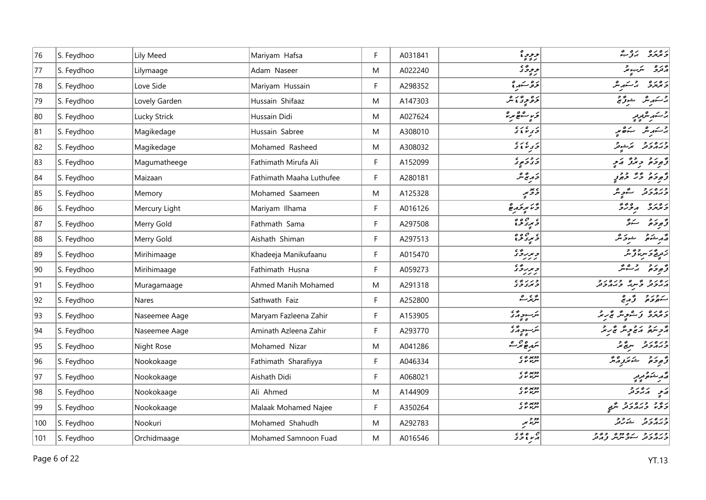| 76  | S. Feydhoo | Lily Meed     | Mariyam Hafsa            | F  | A031841 | ووو؟                                                                                                                                                      | رەرە بەۋب                                     |
|-----|------------|---------------|--------------------------|----|---------|-----------------------------------------------------------------------------------------------------------------------------------------------------------|-----------------------------------------------|
| 77  | S. Feydhoo | Lilymaage     | Adam Naseer              | M  | A022240 | و وگړي<br>ر <sub>ئي</sub> ر                                                                                                                               | أردره الكرسونر                                |
| 78  | S. Feydhoo | Love Side     | Mariyam Hussain          | F  | A298352 | ئەڭرىسىم                                                                                                                                                  |                                               |
| 79  | S. Feydhoo | Lovely Garden | Hussain Shifaaz          | M  | A147303 | نزه د پخ نځ مګر                                                                                                                                           | جر سکھر سکھر شورگرمج<br>مرید مشورگرم          |
| 80  | S. Feydhoo | Lucky Strick  | Hussain Didi             | M  | A027624 | ئۈرىيە شەھ بىرىد                                                                                                                                          | ج ڪهر سرپوريو<br>پر ڪهر سرپوريو               |
| 81  | S. Feydhoo | Magikedage    | Hussain Sabree           | M  | A308010 | وبرءيز                                                                                                                                                    | $rac{1}{2}$                                   |
| 82  | S. Feydhoo | Magikedage    | Mohamed Rasheed          | M  | A308032 | ر پر پر<br><del>د</del> ريم و                                                                                                                             | ورەرو كرشونر                                  |
| 83  | S. Feydhoo | Magumatheege  | Fathimath Mirufa Ali     | F  | A152099 | ر و ر<br>5 د کامو د                                                                                                                                       | وجوده وبرؤ كمو                                |
| 84  | S. Feydhoo | Maizaan       | Fathimath Maaha Luthufee | F  | A280181 | ىر مۇبىر<br>مەم ئى                                                                                                                                        | ڙوڌو ڌُڙ ڌورِ                                 |
| 85  | S. Feydhoo | Memory        | Mohamed Saameen          | M  | A125328 | وببحر                                                                                                                                                     | ورەرو گەچە                                    |
| 86  | S. Feydhoo | Mercury Light | Mariyam Ilhama           | F  | A016126 | دنئو سر تزمر ه                                                                                                                                            | وبردو برورو                                   |
| 87  | S. Feydhoo | Merry Gold    | Fathmath Sama            | F  | A297508 | $\overline{\overset{\circ}{\mathcal{E}}\overset{\circ}{\mathcal{E}}\overset{\circ}{\mathcal{E}}\overset{\circ}{\mathcal{E}}\overset{\circ}{\mathcal{E}}}$ | قەددە سۇ                                      |
| 88  | S. Feydhoo | Merry Gold    | Aishath Shiman           | F. | A297513 |                                                                                                                                                           | ۇرىشكى ئىركىر                                 |
| 89  | S. Feydhoo | Mirihimaage   | Khadeeja Manikufaanu     | F  | A015470 | او بور وي<br>رسمه د                                                                                                                                       | ر<br>ئەرىئ <sup>ى ئە</sup> سرىنى ئىىر         |
| 90  | S. Feydhoo | Mirihimaage   | Fathimath Husna          | F  | A059273 | د برر دمی<br>ربر ر                                                                                                                                        | ۇ بەردە بار شەش                               |
| 91  | S. Feydhoo | Muragamaage   | Ahmed Manih Mohamed      | M  | A291318 | و ر ر » »<br>تر بور و ی                                                                                                                                   | גפנה בייתור בגםנה                             |
| 92  | S. Feydhoo | Nares         | Sathwath Faiz            | F. | A252800 | ىترىر ھ                                                                                                                                                   | ستهوجو ومرم                                   |
| 93  | S. Feydhoo | Naseemee Aage | Maryam Fazleena Zahir    | F. | A153905 | ىرسوچەترى<br>سرسوچەترى                                                                                                                                    | وممكرو وحوير فجرم                             |
| 94  | S. Feydhoo | Naseemee Aage | Aminath Azleena Zahir    | F  | A293770 | ىر<br>سرسورى<br>ئ                                                                                                                                         | أأرمز المتحفظ المحاربة                        |
| 95  | S. Feydhoo | Night Rose    | Mohamed Nizar            | M  | A041286 | يتمرغ ترع                                                                                                                                                 | כמחכת תשת                                     |
| 96  | S. Feydhoo | Nookokaage    | Fathimath Sharafiyya     | F  | A046334 | دد پر پر پر<br>سربر رکھ ت                                                                                                                                 | توجوحو خنرزور                                 |
| 97  | S. Feydhoo | Nookokaage    | Aishath Didi             | F  | A068021 | دوپر در د<br>سربر بر د                                                                                                                                    | ر<br>په کېږمنده توروړ                         |
| 98  | S. Feydhoo | Nookokaage    | Ali Ahmed                | M  | A144909 | وویو پر پر<br>سربر رکھ ت                                                                                                                                  | أيمو أيرورد                                   |
| 99  | S. Feydhoo | Nookokaage    | Malaak Mohamed Najee     | F  | A350264 | دد پر دی<br>سربر بر ی                                                                                                                                     | رود دره ده گهج                                |
| 100 | S. Feydhoo | Nookuri       | Mohamed Shahudh          | M  | A292783 | التربوير                                                                                                                                                  | وره رو دو <del>د</del><br>وبردونر شورتر       |
| 101 | S. Feydhoo | Orchidmaage   | Mohamed Samnoon Fuad     | M  | A016546 |                                                                                                                                                           | وره رو دره دوه آورد و<br>وبردرونس سوسرس وردنر |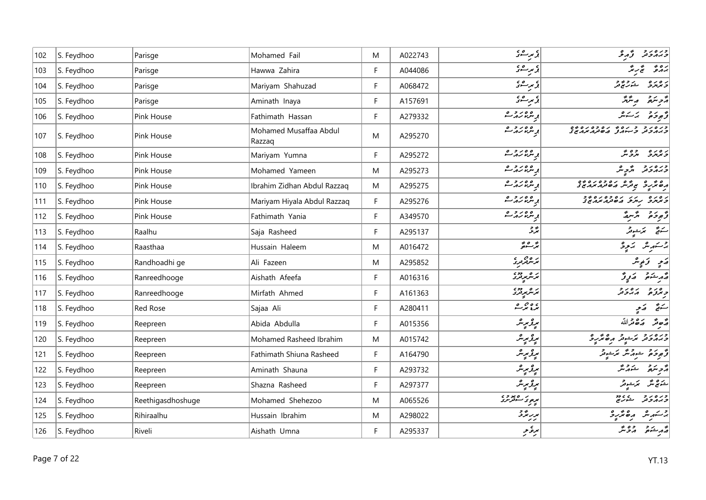| 102 | S. Feydhoo | Parisge           | Mohamed Fail                     | M           | A022743 | ې <sub>مور</sub> ه دي<br>د مو      | ورەر دۇرۇ                                                                                                                                                                                                                           |
|-----|------------|-------------------|----------------------------------|-------------|---------|------------------------------------|-------------------------------------------------------------------------------------------------------------------------------------------------------------------------------------------------------------------------------------|
| 103 | S. Feydhoo | Parisge           | Hawwa Zahira                     | F           | A044086 | ې <sub>مور</sub> ه دي              | رەپچ<br>برامو                                                                                                                                                                                                                       |
| 104 | S. Feydhoo | Parisge           | Mariyam Shahuzad                 | F           | A068472 | ومرعو                              | ر ه ر ه<br>تر بر بر<br>ے ترکیح فر                                                                                                                                                                                                   |
| 105 | S. Feydhoo | Parisge           | Aminath Inaya                    | F.          | A157691 | إدبره يح                           | أأزجر ستراثه ويستنز                                                                                                                                                                                                                 |
| 106 | S. Feydhoo | Pink House        | Fathimath Hassan                 | F           | A279332 | ب <sub>و</sub> مره تر پر م         | ۇ بۇرە بەسكىر                                                                                                                                                                                                                       |
| 107 | S. Feydhoo | <b>Pink House</b> | Mohamed Musaffaa Abdul<br>Razzaq | M           | A295270 | بوبثر مرترمثه                      |                                                                                                                                                                                                                                     |
| 108 | S. Feydhoo | Pink House        | Mariyam Yumna                    | F           | A295272 | ار مرديده                          | ر ه ر ه<br><del>د</del> بربرگ<br>برد مگر                                                                                                                                                                                            |
| 109 | S. Feydhoo | Pink House        | Mohamed Yameen                   | M           | A295273 | و مره در د ه<br>د سربار ر          | ورەر دۇرىر                                                                                                                                                                                                                          |
| 110 | S. Feydhoo | Pink House        | Ibrahim Zidhan Abdul Razzaq      | M           | A295275 | ار مەردىق كەنتىسى<br>مەركىمىتى كىل | 02010701020202020202020202                                                                                                                                                                                                          |
| 111 | S. Feydhoo | Pink House        | Mariyam Hiyala Abdul Razzaq      | $\mathsf F$ | A295276 | ا پر مث <i>ر پر جر</i> شه          | גם גם הגב' גם כם גם ביב<br>כינות כ' החב' גם מנגינגים ב                                                                                                                                                                              |
| 112 | S. Feydhoo | <b>Pink House</b> | Fathimath Yania                  | F           | A349570 | ابو هو ديرو ه                      | توجوختم الرسمة                                                                                                                                                                                                                      |
| 113 | S. Feydhoo | Raalhu            | Saja Rasheed                     | F.          | A295137 | یو و<br>بور                        | السكرة المتحر من المحمد المحمد المحمد السكرة المحمد السكرة المحمد المحمد المحمد المحمد المحمد المحمد<br>السكرة المحمد المحمد المحمد المحمد المحمد المحمد المحمد المحمد المحمد المحمد المحمد المحمد المحمد المحمد المحم<br>المحمد ال |
| 114 | S. Feydhoo | Raasthaa          | Hussain Haleem                   | M           | A016472 | پۇ رەپ<br>ئىرىسوە                  | يزخير شه الأربوع                                                                                                                                                                                                                    |
| 115 | S. Feydhoo | Randhoadhi ge     | Ali Fazeen                       | M           | A295852 | بر و <i>م</i> در <sup>ج</sup>      | ەي ئۈچ                                                                                                                                                                                                                              |
| 116 | S. Feydhoo | Ranreedhooge      | Aishath Afeefa                   | F           | A016316 | ىر شرىردى<br>ئىر شرىرى             |                                                                                                                                                                                                                                     |
| 117 | S. Feydhoo | Ranreedhooge      | Mirfath Ahmed                    | F           | A161363 | بریر دوء                           | - 1010 - 1010<br>  1760 - 1761                                                                                                                                                                                                      |
| 118 | S. Feydhoo | Red Rose          | Sajaa Ali                        | F           | A280411 | ې ه ج محر مه<br>مربع مر م          | سەيھ ھەمچ                                                                                                                                                                                                                           |
| 119 | S. Feydhoo | Reepreen          | Abida Abdulla                    | F           | A015356 | ېږ ژېږېنر                          | صَّدَّة صَدَّدَاللَّهُ                                                                                                                                                                                                              |
| 120 | S. Feydhoo | Reepreen          | Mohamed Rasheed Ibrahim          | M           | A015742 | ېږ ژېږ مر                          | ورەرو كرشونز مەھكرى                                                                                                                                                                                                                 |
| 121 | S. Feydhoo | Reepreen          | Fathimath Shiuna Rasheed         | F           | A164790 | ىر ۋىر بىر                         | ۇۋۇۋ شەرقىر ترشوقر                                                                                                                                                                                                                  |
| 122 | S. Feydhoo | Reepreen          | Aminath Shauna                   | F           | A293732 | ىر ۋىر بىر                         | أمر متعرف المستورثة                                                                                                                                                                                                                 |
| 123 | S. Feydhoo | Reepreen          | Shazna Rasheed                   | F           | A297377 | ېږ ژېږېنر                          | شەمج ئىگە ئىمكىشونىر                                                                                                                                                                                                                |
| 124 | S. Feydhoo | Reethigasdhoshuge | Mohamed Shehezoo                 | M           | A065526 | <br>  مرجو ک <sup>2</sup> سهوری    | ور ہ ر د<br>تر پر پر در سے مربع                                                                                                                                                                                                     |
| 125 | S. Feydhoo | Rihiraalhu        | Hussain Ibrahim                  | M           | A298022 | ىرىر ئىرگە<br>مەم                  | بر سکر شهر مرگ میگر برد                                                                                                                                                                                                             |
| 126 | S. Feydhoo | Riveli            | Aishath Umna                     | F.          | A295337 | ىرة و                              | مەستىم دەش                                                                                                                                                                                                                          |
|     |            |                   |                                  |             |         |                                    |                                                                                                                                                                                                                                     |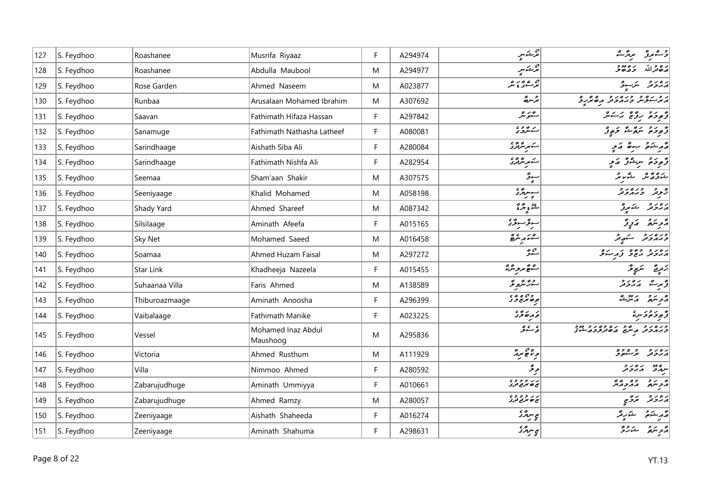| 127 | S. Feydhoo | Roashanee        | Musrifa Riyaaz                 | F           | A294974 | <br>محرشة معر<br>مع                   | وحسمبرڈ بروگر                                                         |
|-----|------------|------------------|--------------------------------|-------------|---------|---------------------------------------|-----------------------------------------------------------------------|
| 128 | S. Feydhoo | Roashanee        | Abdulla Maubool                | M           | A294977 | ترڪسر                                 | ر ه دو د<br><del>ر</del> در ه م<br>ەھىراللە                           |
| 129 | S. Feydhoo | Rose Garden      | Ahmed Naseem                   | M           | A023877 | ە مەم بەر<br>ئىر سىر ئابلىر           | أرەر يرىبو                                                            |
| 130 | S. Feydhoo | Runbaa           | Arusalaan Mohamed Ibrahim      | M           | A307692 | برسرة                                 | נגר נגר כנסנד בסתפ                                                    |
| 131 | S. Feydhoo | Saavan           | Fathimath Hifaza Hassan        | F           | A297842 | شۇ بىر                                | قەددە بەقق ئەسەم                                                      |
| 132 | S. Feydhoo | Sanamuge         | Fathimath Nathasha Latheef     | F           | A080081 | ر پر و ،<br>سرگری                     | وٌ و د و روشهٔ وَ و و                                                 |
| 133 | S. Feydhoo | Sarindhaage      | Aishath Siba Ali               | F           | A280084 | سە ئىر بىر تىرى<br>مەمر بىر تىرى      | ړُ د شکاه کر د د کر د کر                                              |
| 134 | S. Feydhoo | Sarindhaage      | Fathimath Nishfa Ali           | F           | A282954 | ا سەپرىترى<br>كەنبەر بىرىگرى          | أؤودة الراشئ أزمي                                                     |
| 135 | S. Feydhoo | Seemaa           | Sham'aan Shakir                | M           | A307575 | سوش                                   | $\frac{2}{3}$ $\frac{2}{3}$ $\frac{2}{3}$ $\frac{2}{3}$ $\frac{2}{3}$ |
| 136 | S. Feydhoo | Seeniyaage       | Khalid Mohamed                 | M           | A058198 | ا سەمىرونجى<br>ئەس مەنگەنچە           | مجموعه وبره رو                                                        |
| 137 | S. Feydhoo | Shady Yard       | Ahmed Shareef                  | M           | A087342 | يه وه.<br>مشيخ مرد ه                  | رەر ئىسكىرى<br>مەركىر ئىسكىرى                                         |
| 138 | S. Feydhoo | Silsilaage       | Aminath Afeefa                 | $\mathsf F$ | A015165 | --ۇ-- <i>بۇ</i><br>ب                  | أأروسكم أأأتمو وتحر                                                   |
| 139 | S. Feydhoo | Sky Net          | Mohamed Saeed                  | M           | A016458 | سنتمر ينكظ                            | ورەرو بەر                                                             |
| 140 | S. Feydhoo | Soamaa           | Ahmed Huzam Faisal             | M           | A297272 | يتنقحه                                | גפגב בכבי צה הצ                                                       |
| 141 | S. Feydhoo | <b>Star Link</b> | Khadheeja Nazeela              | F           | A015455 | <u>شوءَ برمريري</u>                   | تزمريح ستبيء تحر                                                      |
| 142 | S. Feydhoo | Suhaanaa Villa   | Faris Ahmed                    | M           | A138589 | شە <i>ر تى</i> گو ئى                  | وحميده المرورد                                                        |
| 143 | S. Feydhoo | Thiburoazmaage   | Aminath Anoosha                | F           | A296399 | 55500                                 | أأدح المتحرج                                                          |
| 144 | S. Feydhoo | Vaibalaage       | Fathimath Manike               | F           | A023225 | ر رور<br>وره ژد                       | ۇ ئەر قەر ئىرىئە                                                      |
| 145 | S. Feydhoo | Vessel           | Mohamed Inaz Abdul<br>Maushoog | M           | A295836 | ۇرىمۇ                                 | כנסנים ומידונים בסנים החדר<br>במחבת הייתה הסתיבבה ביצ                 |
| 146 | S. Feydhoo | Victoria         | Ahmed Rusthum                  | M           | A111929 | ه ۵ جا بر پر<br>مر <sup>6</sup> جو بر | ىر 2 مەر<br>مەيرى قىر<br>ىر مەم دە                                    |
| 147 | S. Feydhoo | Villa            | Nimmoo Ahmed                   | F           | A280592 | ءِ تُرُ                               | پرور و<br>יינדי<br>יינדי                                              |
| 148 | S. Feydhoo | Zabarujudhuge    | Aminath Ummiyya                | F           | A010661 | ر ر د د د د .<br>پخ ن نربی نربی       | د و و د د<br>ړګر سرچ                                                  |
| 149 | S. Feydhoo | Zabarujudhuge    | Ahmed Ramzy                    | M           | A280057 | ر ر د د د د<br>  پخ ن نرو ترو         | رەرو رەپ                                                              |
| 150 | S. Feydhoo | Zeeniyaage       | Aishath Shaheeda               | $\mathsf F$ | A016274 | اس موته<br>اس مرگزی                   | و د شکوه شکر د گر                                                     |
| 151 | S. Feydhoo | Zeeniyaage       | Aminath Shahuma                | F           | A298631 | سم سرهگر <sup>ي</sup><br>تو           | أروبتهم بمذروح                                                        |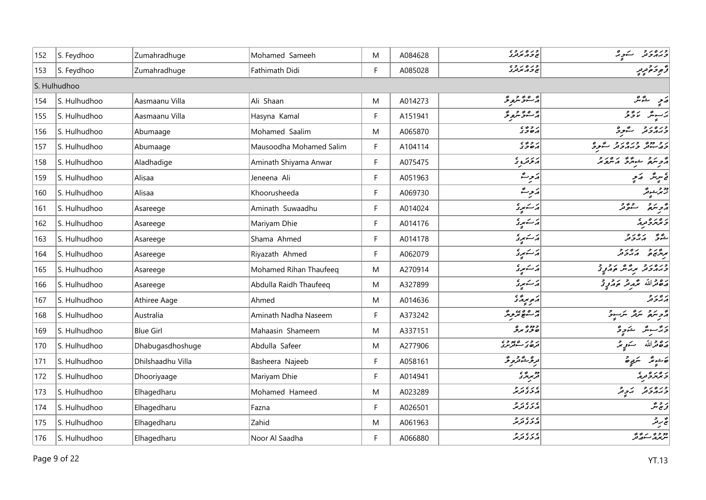| 152 | S. Feydhoo   | Zumahradhuge      | Mohamed Sameeh          | M         | A084628 | و ر ه ر و ،<br>بح <del>ز</del> د <del>ب</del> رترز | ورەرو سكوپر                                                                                                                                                                                                                                                                                                                                                                                                                                                                                                                                                                    |
|-----|--------------|-------------------|-------------------------|-----------|---------|----------------------------------------------------|--------------------------------------------------------------------------------------------------------------------------------------------------------------------------------------------------------------------------------------------------------------------------------------------------------------------------------------------------------------------------------------------------------------------------------------------------------------------------------------------------------------------------------------------------------------------------------|
| 153 | S. Feydhoo   | Zumahradhuge      | Fathimath Didi          | F         | A085028 | و ر ه ر و ،<br>بح <del>ز</del> د <del>ب</del> رترز | <br>  توجو حومومبر                                                                                                                                                                                                                                                                                                                                                                                                                                                                                                                                                             |
|     | S. Hulhudhoo |                   |                         |           |         |                                                    |                                                                                                                                                                                                                                                                                                                                                                                                                                                                                                                                                                                |
| 154 | S. Hulhudhoo | Aasmaanu Villa    | Ali Shaan               | ${\sf M}$ | A014273 | ۇ ھەم بۇ ئۇ                                        | ړې شهر                                                                                                                                                                                                                                                                                                                                                                                                                                                                                                                                                                         |
| 155 | S. Hulhudhoo | Aasmaanu Villa    | Hasyna Kamal            | F         | A151941 | ۇ ھەم ھەم ئى                                       | ىز سىر ئىر ئىرى<br>مەسىر                                                                                                                                                                                                                                                                                                                                                                                                                                                                                                                                                       |
| 156 | S. Hulhudhoo | Abumaage          | Mohamed Saalim          | M         | A065870 | ر د پ ،<br>پره تر د                                | ورەرو ئىوۋ                                                                                                                                                                                                                                                                                                                                                                                                                                                                                                                                                                     |
| 157 | S. Hulhudhoo | Abumaage          | Mausoodha Mohamed Salim | F         | A104114 | 5501                                               | ر د دور ور ور د محمود<br>وهاسوتر وبربروتر گوری                                                                                                                                                                                                                                                                                                                                                                                                                                                                                                                                 |
| 158 | S. Hulhudhoo | Aladhadige        | Aminath Shiyama Anwar   | F         | A075475 | لترفترونه                                          | הכתב בחיב המפת                                                                                                                                                                                                                                                                                                                                                                                                                                                                                                                                                                 |
| 159 | S. Hulhudhoo | Alisaa            | Jeneena Ali             | F         | A051963 | ارزوعه                                             | نج سرینگر کرکمبر<br>م                                                                                                                                                                                                                                                                                                                                                                                                                                                                                                                                                          |
| 160 | S. Hulhudhoo | Alisaa            | Khoorusheeda            | F         | A069730 | رزمزرمع                                            | $\begin{array}{c c}\n\hline\n\text{diag}\left\{\text{diag}\left\{\text{diag}\left\{\text{diag}\left\{\text{diag}\left\{\text{diag}\left\{\text{diag}\left\{\text{diag}\left\{\text{diag}\left\{\text{diag}\left\{\text{diag}\left\{\text{diag}\left\{\text{diag}\left\{\text{diag}\left\{\text{diag}\left\{\text{diag}\left\{\text{diag}\left\{\text{diag}\left\{\text{diag}\left\{\text{diag}\left\{\text{diag}\left\{\text{diag}\left\{\text{diag}\left\{\text{diag}\left\{\text{diag}\left\{\text{diag}\left\{\text{diag}\left\{\text{diag}\left\{\text{diag}\left\{\text{$ |
| 161 | S. Hulhudhoo | Asareege          | Aminath Suwaadhu        | F         | A014024 | ېز کے بیری<br>م                                    | أأرمز<br>ر حرک حر<br>مستوفی فعر                                                                                                                                                                                                                                                                                                                                                                                                                                                                                                                                                |
| 162 | S. Hulhudhoo | Asareege          | Mariyam Dhie            | F         | A014176 | ېز سکوپورځ<br>په                                   | ر صره در<br>  تر پر تر تر پر                                                                                                                                                                                                                                                                                                                                                                                                                                                                                                                                                   |
| 163 | S. Hulhudhoo | Asareege          | Shama Ahmed             | F         | A014178 | ېر کے بیری<br>په                                   | شرح مدرور                                                                                                                                                                                                                                                                                                                                                                                                                                                                                                                                                                      |
| 164 | S. Hulhudhoo | Asareege          | Riyazath Ahmed          | F         | A062079 | ېز کے بیری<br>م                                    | י היי הסיב<br>התאמים ההכנק                                                                                                                                                                                                                                                                                                                                                                                                                                                                                                                                                     |
| 165 | S. Hulhudhoo | Asareege          | Mohamed Rihan Thaufeeq  | M         | A270914 | ېز سه پېړۍ<br>په                                   | ورەرو برگىر ئەدرە                                                                                                                                                                                                                                                                                                                                                                                                                                                                                                                                                              |
| 166 | S. Hulhudhoo | Asareege          | Abdulla Raidh Thaufeeg  | ${\sf M}$ | A327899 | ېز سه پېړئ<br>ئو                                   | رە قىراللە مگەر قرىم قرىر قى                                                                                                                                                                                                                                                                                                                                                                                                                                                                                                                                                   |
| 167 | S. Hulhudhoo | Athiree Aage      | Ahmed                   | ${\sf M}$ | A014636 | ر<br>موسمبر <sup>ی</sup>                           | پروژبر                                                                                                                                                                                                                                                                                                                                                                                                                                                                                                                                                                         |
| 168 | S. Hulhudhoo | Australia         | Aminath Nadha Naseem    | F         | A373242 | بر ۵۵۵۰ و.<br>د سره تر د تر                        | مُّ وِ سَمَّى سَرْبِ سَرَ ۖ وَ                                                                                                                                                                                                                                                                                                                                                                                                                                                                                                                                                 |
| 169 | S. Hulhudhoo | <b>Blue Girl</b>  | Mahaasin Shameem        | M         | A337151 | و دور.<br>ن موی مونو                               | ويژكومرا الفكروفر                                                                                                                                                                                                                                                                                                                                                                                                                                                                                                                                                              |
| 170 | S. Hulhudhoo | Dhabugasdhoshuge  | Abdulla Safeer          | M         | A277906 | ر و ر ە يو و ،<br>تر <i>ە</i> ئ                    | <mark>بر25</mark> الله<br>سەر بر                                                                                                                                                                                                                                                                                                                                                                                                                                                                                                                                               |
| 171 | S. Hulhudhoo | Dhilshaadhu Villa | Basheera Najeeb         | F         | A058161 | ىر ئۇشتىر بوگە                                     |                                                                                                                                                                                                                                                                                                                                                                                                                                                                                                                                                                                |
| 172 | S. Hulhudhoo | Dhooriyaage       | Mariyam Dhie            | F         | A014941 | دد<br>ترمربری                                      | ر ه ر ه ر<br>د بر پرو در                                                                                                                                                                                                                                                                                                                                                                                                                                                                                                                                                       |
| 173 | S. Hulhudhoo | Elhagedharu       | Mohamed Hameed          | ${\sf M}$ | A023289 | ی ر بے ر و<br>پرنوکو تعریم                         | ورەرو بەر                                                                                                                                                                                                                                                                                                                                                                                                                                                                                                                                                                      |
| 174 | S. Hulhudhoo | Elhagedharu       | Fazna                   | F         | A026501 | ی ر بے ر و<br>پرنوی تعریمی                         | زېږمبر                                                                                                                                                                                                                                                                                                                                                                                                                                                                                                                                                                         |
| 175 | S. Hulhudhoo | Elhagedharu       | Zahid                   | M         | A061963 | ې ر ج ر و<br>پر نو بی تعریمي                       | پچ <sub>سر</sub> چر                                                                                                                                                                                                                                                                                                                                                                                                                                                                                                                                                            |
| 176 | S. Hulhudhoo | Elhagedharu       | Noor Al Saadha          | F         | A066880 | ې ر ج ر و<br>پر نو بی تعریمي                       | دد و ه ر ر ر ر<br>سربر پر سکورنگر                                                                                                                                                                                                                                                                                                                                                                                                                                                                                                                                              |
|     |              |                   |                         |           |         |                                                    |                                                                                                                                                                                                                                                                                                                                                                                                                                                                                                                                                                                |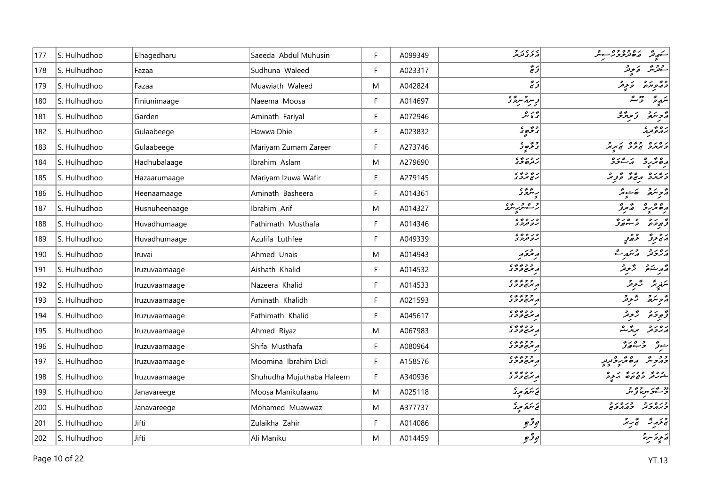| 177 | S. Hulhudhoo | Elhagedharu   | Saeeda Abdul Muhusin      | F           | A099349 | ے رے ر و<br>پر تر تر بر                 | سەر شەھەر جەم جەسىر                                  |
|-----|--------------|---------------|---------------------------|-------------|---------|-----------------------------------------|------------------------------------------------------|
| 178 | S. Hulhudhoo | Fazaa         | Sudhuna Waleed            | F           | A023317 | تريخ                                    | سەندىگە ئۇمۇند                                       |
| 179 | S. Hulhudhoo | Fazaa         | Muawiath Waleed           | M           | A042824 | تريج                                    | כמקום קבת                                            |
| 180 | S. Hulhudhoo | Finiunimaage  | Naeema Moosa              | F           | A014697 | و سرړ سرچ د                             | ىمەت 195                                             |
| 181 | S. Hulhudhoo | Garden        | Aminath Fariyal           | $\mathsf F$ | A072946 | پر مر                                   | أأديني كبراز                                         |
| 182 | S. Hulhudhoo | Gulaabeege    | Hawwa Dhie                | F           | A023832 | د و همه م<br>د تره د                    | پروڅورم                                              |
| 183 | S. Hulhudhoo | Gulaabeege    | Mariyam Zumam Zareer      | F           | A273746 | و و مي<br>د گريمو د                     | ره ده ووه مر بر                                      |
| 184 | S. Hulhudhoo | Hadhubalaage  | Ibrahim Aslam             | M           | A279690 | ر ور د ،<br>رکون مود                    | مەھرىرى كەسىرى                                       |
| 185 | S. Hulhudhoo | Hazaarumaage  | Mariyam Izuwa Wafir       | F           | A279145 | ر ۶ و ۶ ی<br>تریخ بوری                  | أد ورو و و و و و تر تر                               |
| 186 | S. Hulhudhoo | Heenaamaage   | Aminath Basheera          | F           | A014361 | ر پژو <sup>ي</sup>                      | أترجم فضيتم                                          |
| 187 | S. Hulhudhoo | Husnuheenaage | Ibrahim Arif              | M           | A014327 | <sup>و</sup> سەمئ <sub>رى</sub> ئىرى    | وەترىر ھېرو                                          |
| 188 | S. Hulhudhoo | Huvadhumaage  | Fathimath Musthafa        | F           | A014346 | و ر و » ،<br>روىرو د                    | د ۱۵۷۵.<br>تر بیروژ<br>وحجوحهم                       |
| 189 | S. Hulhudhoo | Huvadhumaage  | Azulifa Luthfee           | F           | A049339 | و ر و د »<br>ر ه ترو د                  | أرجم وقرقر وجرور                                     |
| 190 | S. Hulhudhoo | Iruvai        | Ahmed Unais               | M           | A014943 | وبخرعه                                  | أرەرو وتىرگ                                          |
| 191 | S. Hulhudhoo | Iruzuvaamaage | Aishath Khalid            | F           | A014532 | د و و د د و<br>د مربع څرنو ک            | أقمر مشكرة المتحرقر                                  |
| 192 | S. Hulhudhoo | Iruzuvaamaage | Nazeera Khalid            | F           | A014533 | د و و د د و<br>د مربع څرنو ک            | سَمَدٍ مِمَّدٍ السَّرْحِيْدُ                         |
| 193 | S. Hulhudhoo | Iruzuvaamaage | Aminath Khalidh           | F           | A021593 | د و و د د د<br>م مربع تو <del>و</del> د | أأروبترة<br>رٌ وتر                                   |
| 194 | S. Hulhudhoo | Iruzuvaamaage | Fathimath Khalid          | F           | A045617 | د د د د د د<br>م مربع څ و د             | و په پر د<br>رٌ وتر                                  |
| 195 | S. Hulhudhoo | Iruzuvaamaage | Ahmed Riyaz               | M           | A067983 | د و و ه و ،<br>مربر بی تر د ک           | رەرو بروگ                                            |
| 196 | S. Hulhudhoo | Iruzuvaamaage | Shifa Musthafa            | F           | A080964 | <br>  مرسمی تر و ی                      | شوژ ژبانوژ                                           |
| 197 | S. Hulhudhoo | Iruzuvaamaage | Moomina Ibrahim Didi      | $\mathsf F$ | A158576 | د ۶۶۶۶ و.<br>د مربع څرنو د              | ووویتر ارگانتریوترمر                                 |
| 198 | S. Hulhudhoo | Iruzuvaamaage | Shuhudha Mujuthaba Haleem | F           | A340936 | <br>  مرسمی حرکری                       | ودو دوره روه                                         |
| 199 | S. Hulhudhoo | Janavareege   | Moosa Manikufaanu         | M           | A025118 | ئے سَرَعَہ سرِیْہ                       | ة مەسىر ئەتەر ئەتەر<br>مەسىر ئىس                     |
| 200 | S. Hulhudhoo | Janavareege   | Mohamed Muawwaz           | M           | A377737 | <br>  نئے سَرعَہ س <sub>می</sub> ر      | כנסני כנסני<br>קמתכת כממפץ                           |
| 201 | S. Hulhudhoo | Jifti         | Zulaikha Zahir            | F           | A014086 | قوقريح                                  | چ ئۆمە <sup>م</sup> ەر<br>س<br>سچ س <sub>ر</sub> تنز |
| 202 | S. Hulhudhoo | Jifti         | Ali Maniku                | M           | A014459 | وگريج                                   | ە ئېچە ئەسرىتى<br>مەنبە                              |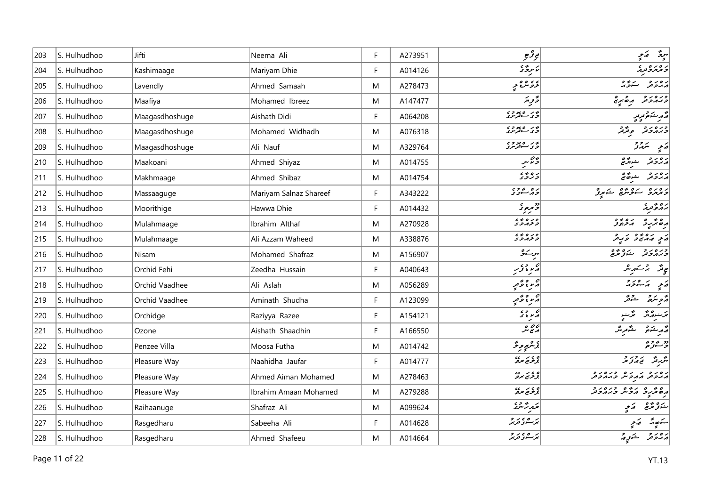| 203 | S. Hulhudhoo | Jifti          | Neema Ali              | F         | A273951 | وژح                                    | ەكىپىيە<br>سرمجّر<br>مستق                |
|-----|--------------|----------------|------------------------|-----------|---------|----------------------------------------|------------------------------------------|
| 204 | S. Hulhudhoo | Kashimaage     | Mariyam Dhie           | F         | A014126 | ر<br>ما مورد د                         | ر جديره بره<br>د بر پردوبرد              |
| 205 | S. Hulhudhoo | Lavendly       | Ahmed Samaah           | ${\sf M}$ | A278473 | ءِ ۽ هء <sup>م</sup> و                 | رەرو سەرە                                |
| 206 | S. Hulhudhoo | Maafiya        | Mohamed Ibreez         | M         | A147477 | څوپر                                   | و رە ر د<br><i>د بە</i> پەر<br>ەرھىمرى   |
| 207 | S. Hulhudhoo | Maagasdhoshuge | Aishath Didi           | F         | A064208 | بر رحس و د د<br>تر که مسلومور          | ر<br>په کېږ شکوه کو لو                   |
| 208 | S. Hulhudhoo | Maagasdhoshuge | Mohamed Widhadh        | M         | A076318 | به رحمه و د و<br>و ی سسوتوری           | ورەر دەپەر                               |
| 209 | S. Hulhudhoo | Maagasdhoshuge | Ali Nauf               | M         | A329764 | به رحمه و د و<br>و ی سسوتوری           | أەسم مىدىق                               |
| 210 | S. Hulhudhoo | Maakoani       | Ahmed Shiyaz           | ${\sf M}$ | A014755 | و مهمبر<br>حرمانبر                     | ره ر د شورگرم<br>درگرفتر شورگرم          |
| 211 | S. Hulhudhoo | Makhmaage      | Ahmed Shibaz           | ${\sf M}$ | A014754 | ر ه و ،<br><del>د</del> رقمه           | ره رو شوخه و                             |
| 212 | S. Hulhudhoo | Massaaguge     | Mariyam Salnaz Shareef | F         | A343222 | ره شود ،                               | رەرە بەۋشى ھەيرۇ                         |
| 213 | S. Hulhudhoo | Moorithige     | Hawwa Dhie             | F         | A014432 | دد<br>تر مرمو د                        | رە ئەرىم<br>شەرقى قىرەر                  |
| 214 | S. Hulhudhoo | Mulahmaage     | Ibrahim Althaf         | ${\sf M}$ | A270928 | و ره و ،<br>د <del>و</del> د د د       | دە ئەر ئەدەر                             |
| 215 | S. Hulhudhoo | Mulahmaage     | Ali Azzam Waheed       | M         | A338876 | و ره و »<br>تر په ژ                    | ב ב הפייד ביבת                           |
| 216 | S. Hulhudhoo | Nisam          | Mohamed Shafraz        | ${\sf M}$ | A156907 | سرىكىۋ                                 | وره رو ده ده<br><i>وبرو دو</i> شوتونتریخ |
| 217 | S. Hulhudhoo | Orchid Fehi    | Zeedha Hussain         | F         | A040643 | ەر بەي<br>مەر بۇ ئۈر                   | پرونگر برگشمریش                          |
| 218 | S. Hulhudhoo | Orchid Vaadhee | Ali Aslah              | ${\sf M}$ | A056289 | ە<br>مەر ۋە قىر                        | ە ئەسىمى                                 |
| 219 | S. Hulhudhoo | Orchid Vaadhee | Aminath Shudha         | F         | A123099 | ەر بە ئەھمىيە<br>مەسىم ئەھم            | أأترسكم فتحفر                            |
| 220 | S. Hulhudhoo | Orchidge       | Raziyya Razee          | F         | A154121 | لېمونه                                 | ىكەسىدە مەكەب<br>مەسىرە مەكەب            |
| 221 | S. Hulhudhoo | Ozone          | Aishath Shaadhin       | F         | A166550 | 222                                    | و د شود.<br>م<br>شەھەر سىگە              |
| 222 | S. Hulhudhoo | Penzee Villa   | Moosa Futha            | ${\sf M}$ | A014742 | ئۇشجومۇ                                | دو پروه                                  |
| 223 | S. Hulhudhoo | Pleasure Way   | Naahidha Jaufar        | F         | A014777 | و ی بر ی<br>  بو ی بره                 | تررتر فقاترتر                            |
| 224 | S. Hulhudhoo | Pleasure Way   | Ahmed Aiman Mohamed    | ${\sf M}$ | A278463 | اہ ی پر پر<br>اگر <del>قری</del> م ہور | גם גב הגבית כגבבת                        |
| 225 | S. Hulhudhoo | Pleasure Way   | Ibrahim Amaan Mohamed  | ${\sf M}$ | A279288 | ہ یہ پر ے<br>تر <del>تر</del> یح مرت   |                                          |
| 226 | S. Hulhudhoo | Raihaanuge     | Shafraz Ali            | M         | A099624 | ىر بەر ئەيرى<br>ئىر بار ئىس            | شۇڭرىق مەير                              |
| 227 | S. Hulhudhoo | Rasgedharu     | Sabeeha Ali            | F         | A014628 | بر رہ ۽ ر و<br>برڪو تعريم              | ٤ۄ؆                                      |
| 228 | S. Hulhudhoo | Rasgedharu     | Ahmed Shafeeu          | ${\sf M}$ | A014664 | ر ره ، د چ<br>بر سوی تعریم             | رەرد شرور                                |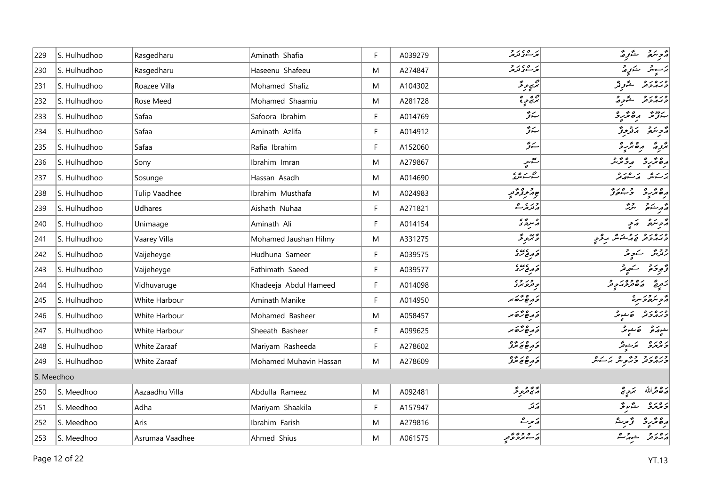| 229 | S. Hulhudhoo | Rasgedharu           | Aminath Shafia         | F         | A039279 | ىر رە ، ئەر ج<br>ئىرسىسى تىرىپر | ۇ جە ئىدە<br>مەسىم<br>شَدَّوِ پُرُ                                                                                                                |
|-----|--------------|----------------------|------------------------|-----------|---------|---------------------------------|---------------------------------------------------------------------------------------------------------------------------------------------------|
| 230 | S. Hulhudhoo | Rasgedharu           | Haseenu Shafeeu        | M         | A274847 | ر ره ، د و<br>بر سوء تربر       | پرَ سوء په شوَړٍ په                                                                                                                               |
| 231 | S. Hulhudhoo | Roazee Villa         | Mohamed Shafiz         | M         | A104302 | لئر يپويژ                       | ورەرو ئىرو                                                                                                                                        |
| 232 | S. Hulhudhoo | Rose Meed            | Mohamed Shaamiu        | M         | A281728 | مرج ح <sub>و</sub> ء            | وره دو ده و                                                                                                                                       |
| 233 | S. Hulhudhoo | Safaa                | Safoora Ibrahim        | F         | A014769 | ىبە ئۇ                          | دە ئەرد<br>سەدىرىپە                                                                                                                               |
| 234 | S. Hulhudhoo | Safaa                | Aminath Azlifa         | F         | A014912 | ىبە ئۇ                          | أأوبته أأفرجو                                                                                                                                     |
| 235 | S. Hulhudhoo | Safaa                | Rafia Ibrahim          | F         | A152060 | سەتى                            | بزورة المقتررة                                                                                                                                    |
| 236 | S. Hulhudhoo | Sony                 | Ibrahim Imran          | M         | A279867 | يع<br>په                        | أرەنزىر بەدىر                                                                                                                                     |
| 237 | S. Hulhudhoo | Sosunge              | Hassan Asadh           | ${\sf M}$ | A014690 | ين ئەيترى                       | برستى مەسىر                                                                                                                                       |
| 238 | S. Hulhudhoo | <b>Tulip Vaadhee</b> | Ibrahim Musthafa       | ${\sf M}$ | A024983 | ھ م <sup>7</sup> پر قرمز مر     | دەندىرو ورورو                                                                                                                                     |
| 239 | S. Hulhudhoo | Udhares              | Aishath Nuhaa          | F         | A271821 | د ر ،<br>مرتد بر <u>م</u>       | و مر شده و برگر<br>مرگز مرگز                                                                                                                      |
| 240 | S. Hulhudhoo | Unimaage             | Aminath Ali            | F         | A014154 | رسوری                           | أزويته أرمو                                                                                                                                       |
| 241 | S. Hulhudhoo | Vaarey Villa         | Mohamed Jaushan Hilmy  | ${\sf M}$ | A331275 | و پر <sub>وگ</sub>              |                                                                                                                                                   |
| 242 | S. Hulhudhoo | Vaijeheyge           | Hudhuna Sameer         | F         | A039575 | ر<br>ح د مع ر د                 | دوند سکوند<br>روندگ                                                                                                                               |
| 243 | S. Hulhudhoo | Vaijeheyge           | Fathimath Saeed        | F         | A039577 | ر<br>ح د ق ر د                  |                                                                                                                                                   |
| 244 | S. Hulhudhoo | Vidhuvaruge          | Khadeeja Abdul Hameed  | F         | A014098 | و تر و ،<br>وتر <i>و تر</i> د   |                                                                                                                                                   |
| 245 | S. Hulhudhoo | White Harbour        | Aminath Manike         | F         | A014950 | ە بەغ ئەھ بىر                   | أأد سكود سره                                                                                                                                      |
| 246 | S. Hulhudhoo | White Harbour        | Mohamed Basheer        | ${\sf M}$ | A058457 | دَرءِ رَّهَ بر                  |                                                                                                                                                   |
| 247 | S. Hulhudhoo | White Harbour        | Sheeath Basheer        | F         | A099625 | دَرِهِ رَّهَ بر                 | $\begin{array}{c c}\n\mathcal{L}_{\mathcal{L}} & \mathcal{L}_{\mathcal{L}} \\ \mathcal{L}_{\mathcal{L}} & \mathcal{L}_{\mathcal{L}}\n\end{array}$ |
| 248 | S. Hulhudhoo | White Zaraaf         | Mariyam Rasheeda       | F         | A278602 | ئەرھىج ئىڭر                     | رەرە برشونگر                                                                                                                                      |
| 249 | S. Hulhudhoo | White Zaraaf         | Mohamed Muhavin Hassan | M         | A278609 | عەرىج ئەتتىرى                   | ورەرو وە مەكرىم                                                                                                                                   |
|     | S. Meedhoo   |                      |                        |           |         |                                 |                                                                                                                                                   |
| 250 | S. Meedhoo   | Aazaadhu Villa       | Abdulla Rameez         | ${\sf M}$ | A092481 | رمع قرع قرّ                     | برە قراللە<br>بمرتزع                                                                                                                              |
| 251 | S. Meedhoo   | Adha                 | Mariyam Shaakila       | F         | A157947 | برتر                            | ر ه ر ه<br>د بربرد                                                                                                                                |
| 252 | S. Meedhoo   | Aris                 | Ibrahim Farish         | ${\sf M}$ | A279816 | ەئىرىشە                         | رە ئۈرۈ                                                                                                                                           |
| 253 | S. Meedhoo   | Asrumaa Vaadhee      | Ahmed Shius            | ${\sf M}$ | A061575 | ړ په د وي ور                    | ره رو ده وگ<br>مربروتر شورگ                                                                                                                       |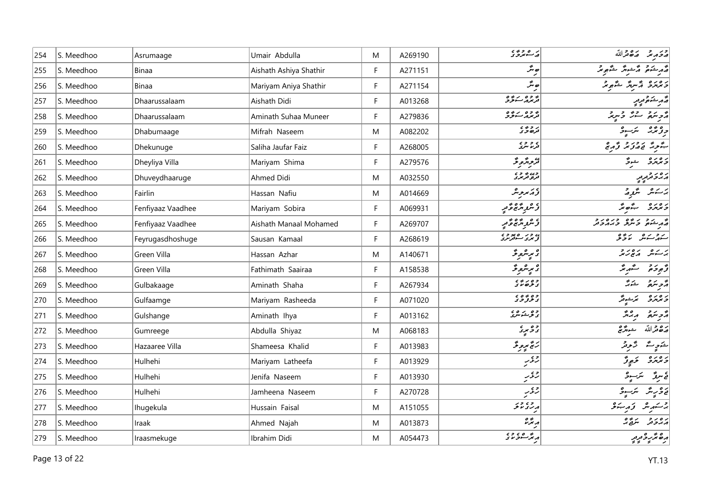| 254 | S. Meedhoo | Asrumaage         | Umair Abdulla          | M         | A269190 | ر ۱۵ وه و<br>پرکسه موری                 | حرم حرم حاصرالله                       |
|-----|------------|-------------------|------------------------|-----------|---------|-----------------------------------------|----------------------------------------|
| 255 | S. Meedhoo | Binaa             | Aishath Ashiya Shathir | F         | A271151 | حویٹر                                   | و<br>وزم شوه المشور شوه م              |
| 256 | S. Meedhoo | <b>Binaa</b>      | Mariyam Aniya Shathir  | F         | A271154 | ھىتر                                    | دەرە ئېرىگە شەر                        |
| 257 | S. Meedhoo | Dhaarussalaam     | Aishath Didi           | F         | A013268 | ء وه ريەه<br>ترىرە سەنۇر                | د د شوه نومو<br>د کر شوه نومو          |
| 258 | S. Meedhoo | Dhaarussalaam     | Aminath Suhaa Muneer   | F         | A279836 | ء وه ريده<br>تربر پر سکوگ               | ر<br>أو سعد العالم المحسن المحسن       |
| 259 | S. Meedhoo | Dhabumaage        | Mifrah Naseem          | M         | A082202 | ر و ۵ با<br>تر <i>ه و ی</i>             | وويرو ترب                              |
| 260 | S. Meedhoo | Dhekunuge         | Saliha Jaufar Faiz     | F         | A268005 | ، و و ،<br>تور سری                      |                                        |
| 261 | S. Meedhoo | Dheyliya Villa    | Mariyam Shima          | F         | A279576 | نئ <i>و پڙو</i> گر                      | و وړه شوگر                             |
| 262 | S. Meedhoo | Dhuveydhaaruge    | Ahmed Didi             | M         | A032550 | وړ پر و د<br>ترو تر بر ت                | ر صدر<br>د بر د ترور ور                |
| 263 | S. Meedhoo | Fairlin           | Hassan Nafiu           | ${\sf M}$ | A014669 | ئۇر <i>تى</i> رىبەر                     | ىر سەش سىگروڭ                          |
| 264 | S. Meedhoo | Fenfiyaaz Vaadhee | Mariyam Sobira         | F         | A069931 | ۇ شرىر ترىج قرىر                        | رەرە بەر                               |
| 265 | S. Meedhoo | Fenfiyaaz Vaadhee | Aishath Manaal Mohamed | F         | A269707 | ې موږ په مخې په د                       |                                        |
| 266 | S. Meedhoo | Feyrugasdhoshuge  | Sausan Kamaal          | F         | A268619 | در و در ه در و د<br>از برو سوترمرو      | سەر سەھ ئەنزى                          |
| 267 | S. Meedhoo | Green Villa       | Hassan Azhar           | ${\sf M}$ | A140671 | <mark>ۇ <sub>مې</sub>شوقە</mark>        | يركبش المتحارجر                        |
| 268 | S. Meedhoo | Green Villa       | Fathimath Saairaa      | F         | A158538 | ە بېرىئر <sub>ى</sub> رگە               | قرموخرة مستعربته                       |
| 269 | S. Meedhoo | Gulbakaage        | Aminath Shaha          | F         | A267934 | و و ر پر ۽<br><sub>ک</sub> موڻ <i>س</i> | أأروسهم المشركة                        |
| 270 | S. Meedhoo | Gulfaamge         | Mariyam Rasheeda       | F         | A071020 | د ه و ه ه ،<br>د نروگر د                | و و ر و سر پر شونگر                    |
| 271 | S. Meedhoo | Gulshange         | Aminath Ihya           | F         | A013162 | وه په ۵ په<br>د نوشتمند                 | أأدبتهم الراجر                         |
| 272 | S. Meedhoo | Gumreege          | Abdulla Shiyaz         | ${\sf M}$ | A068183 | و ه مړي<br>  د ح مړي                    | ەھىراللە<br>شەدگرىج                    |
| 273 | S. Meedhoo | Hazaaree Villa    | Shameesa Khalid        | F         | A013983 | رىج <sub>مېرى</sub> رىگە<br>ئەس         | رٌ وتر<br>  شَرَحٍ مُتَمّ              |
| 274 | S. Meedhoo | Hulhehi           | Mariyam Latheefa       | F         | A013929 | ترعريه                                  | رەرە كەرگ                              |
| 275 | S. Meedhoo | Hulhehi           | Jenifa Naseem          | F         | A013930 | و ء<br>روب                              | ئ <sub>ى</sub> سرۇ سەسوۋ               |
| 276 | S. Meedhoo | Hulhehi           | Jamheena Naseem        | F         | A270728 | ترعرب                                   | ئەۋرىتىلى تىرسوۋ                       |
| 277 | S. Meedhoo | Ihugekula         | Hussain Faisal         | ${\sf M}$ | A151055 | اړدنۍ نړۍ                               | يرسكهرش وكهاجلى                        |
| 278 | S. Meedhoo | Iraak             | Ahmed Najah            | M         | A013873 | وبترع                                   | ر ەر د<br>م.روتر<br>ىر بە ە<br>سرقى بر |
| 279 | S. Meedhoo | Iraasmekuge       | Ibrahim Didi           | M         | A054473 | ارېژ شوی دی                             | رە ئەر ئەربىر<br>ر                     |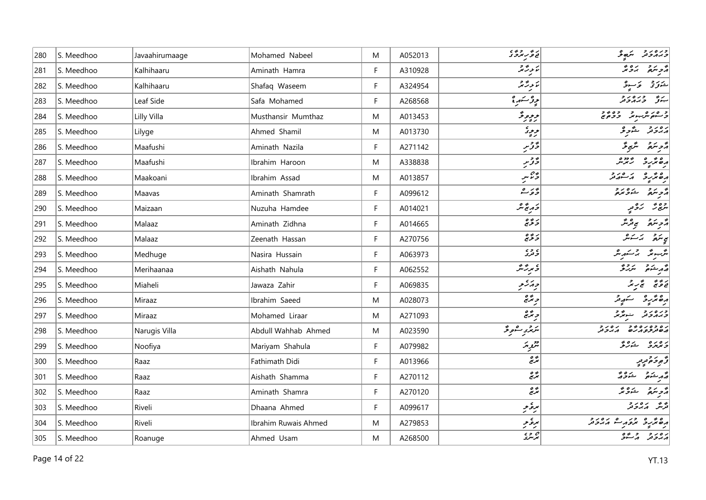| 280 | S. Meedhoo | Javaahirumaage | Mohamed Nabeel       | M           | A052013 | پر ځېږ چې د<br>  مخه ځې چرچ د | وره دو سکھو                                                |
|-----|------------|----------------|----------------------|-------------|---------|-------------------------------|------------------------------------------------------------|
| 281 | S. Meedhoo | Kalhihaaru     | Aminath Hamra        | F           | A310928 | ىز بەر ئەر<br>س               | أأروسكم بروتر                                              |
| 282 | S. Meedhoo | Kalhihaaru     | Shafaq Waseem        | F           | A324954 | بأعرشيمه                      | لتنوتى كالسوطى                                             |
| 283 | S. Meedhoo | Leaf Side      | Safa Mohamed         | F           | A268568 | ىر ۋېسىدى <sub>د</sub> ى      | ر په دره د و.<br>سون د بر د و تر                           |
| 284 | S. Meedhoo | Lilly Villa    | Musthansir Mumthaz   | ${\sf M}$   | A013453 | ا و و ه و گر<br><u>ست</u>     | و ۱۵۰۵ و دورو<br>د سوړسرسر د د وي                          |
| 285 | S. Meedhoo | Lilyge         | Ahmed Shamil         | M           | A013730 | مومورگا<br>مربح               | رەرد شەرى<br>مەردىر شەرى                                   |
| 286 | S. Meedhoo | Maafushi       | Aminath Nazila       | F           | A271142 | ۇ تۇمر                        | ۇ ئەسكە ئىسى ئى                                            |
| 287 | S. Meedhoo | Maafushi       | Ibrahim Haroon       | M           | A338838 | ۇتۇبر                         | یر دو ه<br>رنجو نگر<br>ە ھەترىر <sup>ى</sup><br>بر ھەترىرى |
| 288 | S. Meedhoo | Maakoani       | Ibrahim Assad        | M           | A013857 | وتنتمبر                       | دە ئېرىۋ<br>پر ھير تر                                      |
| 289 | S. Meedhoo | Maavas         | Aminath Shamrath     | $\mathsf F$ | A099612 | ۇر ئە                         | أأرمز<br>شەۋىر ۋ                                           |
| 290 | S. Meedhoo | Maizaan        | Nuzuha Hamdee        | F           | A014021 | ئەرىئ <sup>ى</sup> ر          | يروع روبر                                                  |
| 291 | S. Meedhoo | Malaaz         | Aminath Zidhna       | $\mathsf F$ | A014665 | ترڅي                          | أأدمنغ بإقراش                                              |
| 292 | S. Meedhoo | Malaaz         | Zeenath Hassan       | F           | A270756 | ترڅې                          | ىپ ئىرق ئەسكەنلەر                                          |
| 293 | S. Meedhoo | Medhuge        | Nasira Hussain       | $\mathsf F$ | A063973 | ړ و ،<br>مربو                 | ىترىبويتى ب <u>ەر</u> شىرىتى                               |
| 294 | S. Meedhoo | Merihaanaa     | Aishath Nahula       | F           | A062552 | ۇ بررمىگە<br>م                |                                                            |
| 295 | S. Meedhoo | Miaheli        | Jawaza Zahir         | F           | A069835 | جەڭجە                         | $3\sqrt{2}$ $2\sqrt{2}$                                    |
| 296 | S. Meedhoo | Miraaz         | Ibrahim Saeed        | M           | A028073 | حرمتنى                        | ە ھېڭرىرى<br>ب<br>سكهر قر                                  |
| 297 | S. Meedhoo | Miraaz         | Mohamed Liraar       | M           | A271093 | حريميمح                       | دره در در سورتر<br>در در در سورتر                          |
| 298 | S. Meedhoo | Narugis Villa  | Abdull Wahhab Ahmed  | M           | A023590 | ىئەتترى <sub>ر</sub> مەھرىچە  | ره وه ره دو در ره دو<br>پرهنرمورد ره برر در                |
| 299 | S. Meedhoo | Noofiya        | Mariyam Shahula      | F           | A079982 | يتروير                        | رەرە خەربى                                                 |
| 300 | S. Meedhoo | Raaz           | Fathimath Didi       | $\mathsf F$ | A013966 | پر ہ<br>برج                   | تر و د و در در                                             |
| 301 | S. Meedhoo | Raaz           | Aishath Shamma       | $\mathsf F$ | A270112 | برمج                          | $\frac{201}{400}$ $\frac{22}{40}$                          |
| 302 | S. Meedhoo | Raaz           | Aminath Shamra       | $\mathsf F$ | A270120 | بترج                          | $rac{20}{x^{2}}$                                           |
| 303 | S. Meedhoo | Riveli         | Dhaana Ahmed         | F           | A099617 | برۂ م                         | ترش پرور و                                                 |
| 304 | S. Meedhoo | Riveli         | Ibrahim Ruwais Ahmed | M           | A279853 | برۂ م                         | مصر و بروم مددور                                           |
| 305 | S. Meedhoo | Roanuge        | Ahmed Usam           | M           | A268500 | ە د ،<br>ئىرسرى               | رەرد دىدە                                                  |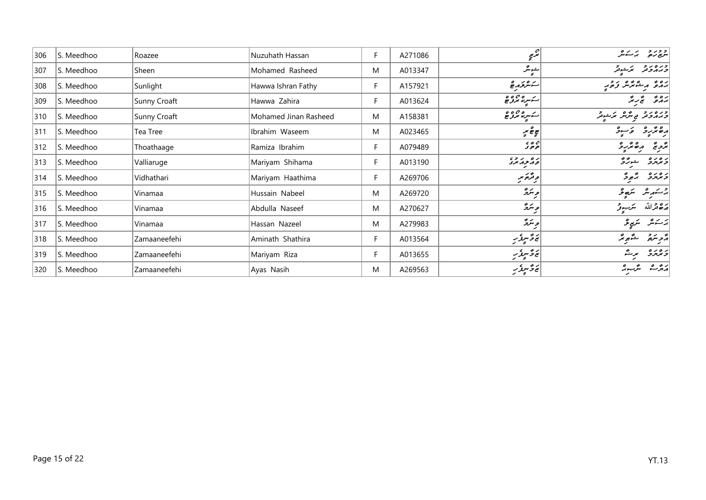| 306 | S. Meedhoo   | Roazee       | Nuzuhath Hassan       | F. | A271086 | جريمج                      | برسەمىر<br>  پرچ ئرم                                  |
|-----|--------------|--------------|-----------------------|----|---------|----------------------------|-------------------------------------------------------|
| 307 | S. Meedhoo   | ∍Sheen       | Mohamed Rasheed       | M  | A013347 | سندمش                      | و ره د د<br>تر <i>ډ</i> ر تر<br>بمرشدقر               |
| 308 | S. Meedhoo   | Sunlight     | Hawwa Ishran Fathy    | F. | A157921 | سەمرىخەر ھ                 | رەپ مەشكەر دو.<br>بەمە مەشكەر ۋەب                     |
| 309 | S. Meedhoo   | Sunny Croaft | Hawwa Zahira          | F. | A013624 | سەسرىز ئىرو ھ              | رەپ پەر                                               |
| 310 | S. Meedhoo   | Sunny Croaft | Mohamed Jinan Rasheed | M  | A158381 | سەسرىز ئىرو ھ              | ورەر وەھەر كەشەر                                      |
| 311 | S. Meedhoo   | Tea Tree     | Ibrahim Waseem        | M  | A023465 | ۔<br>پخچ غونمی             | مەھرىرى<br>وكسوفر                                     |
| 312 | S. Meedhoo   | Thoathaage   | Ramiza Ibrahim        | F. | A079489 | $c \neq c$<br>مومو ی       | $\circ$ $\circ$ $\circ$<br>پر پر پخ<br>مرد م<br>フンメめハ |
| 313 | S. Meedhoo   | Valliaruge   | Mariyam Shihama       | F. | A013190 | ر ه<br>و <i>د پر پر</i> پر | ر ه ر ه<br><del>ر</del> بربرو<br>ے رُگر               |
| 314 | l S. Meedhoo | Vidhathari   | Mariyam Haathima      | F. | A269706 | و ترُیمَ مر                | ر ه ر ه<br><del>ر</del> بربرو<br>برجيء                |
| 315 | S. Meedhoo   | Vinamaa      | Hussain Nabeel        | M  | A269720 | ء سَرَرَّ                  | جرىسە مەر<br>سرّە ئۇ                                  |
| 316 | S. Meedhoo   | Vinamaa      | Abdulla Naseef        | M  | A270627 | ە ئىرگە                    | <mark>بر25</mark> مرالله<br>ىئرسېرتر                  |
| 317 | S. Meedhoo   | Vinamaa      | Hassan Nazeel         | M  | A279983 | ە سَرَرَّ                  | ئەستەش-سىرى ئى                                        |
| 318 | S. Meedhoo   | Zamaaneefehi | Aminath Shathira      | F. | A013564 | ئەڭ سېۋىر                  | ړ د سره<br>ستگهر مگر                                  |
| 319 | S. Meedhoo   | Zamaaneefehi | Mariyam Riza          | F. | A013655 | ئەقەسپۇر                   | ر ه بر ه<br><del>ر</del> بربرگ<br>ىرىگە               |
| 320 | S. Meedhoo   | Zamaaneefehi | Ayas Nasih            | M  | A269563 | ئەڭ سېڭەسر                 | ىر پۇر<br>$\mathcal{O}$<br>سرسبوبر                    |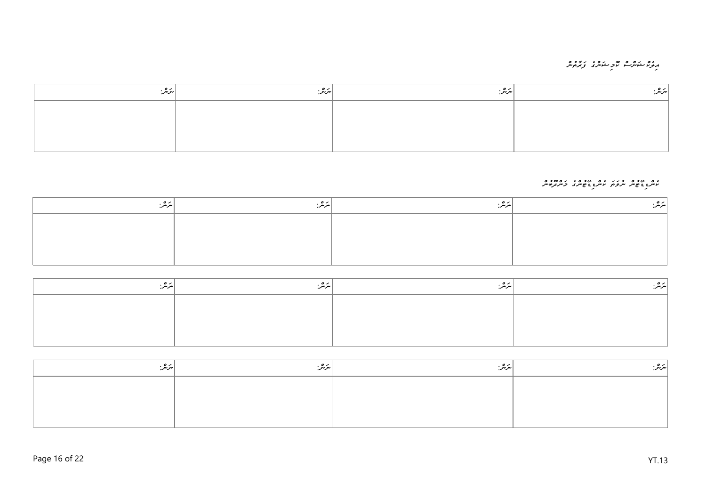## *w7qAn8m? sCw7mRo>u; wEw7mRw;sBo<*

| ' مرمر | 'يئرىثر: |
|--------|----------|
|        |          |
|        |          |
|        |          |

## *w7q9r@w7m> sCw7qHtFoFw7s; mAm=q7 w7qHtFoFw7s;*

| ىر تە | $\mathcal{O} \times$<br>$\sim$ | $\sim$<br>. . | لترنثر |
|-------|--------------------------------|---------------|--------|
|       |                                |               |        |
|       |                                |               |        |
|       |                                |               |        |

| $\frac{2}{n}$ | $\overline{\phantom{a}}$ | اير هنه. | $\mathcal{O} \times$<br>سرسر |
|---------------|--------------------------|----------|------------------------------|
|               |                          |          |                              |
|               |                          |          |                              |
|               |                          |          |                              |

| ' ئىرتىر: | سر سر |  |
|-----------|-------|--|
|           |       |  |
|           |       |  |
|           |       |  |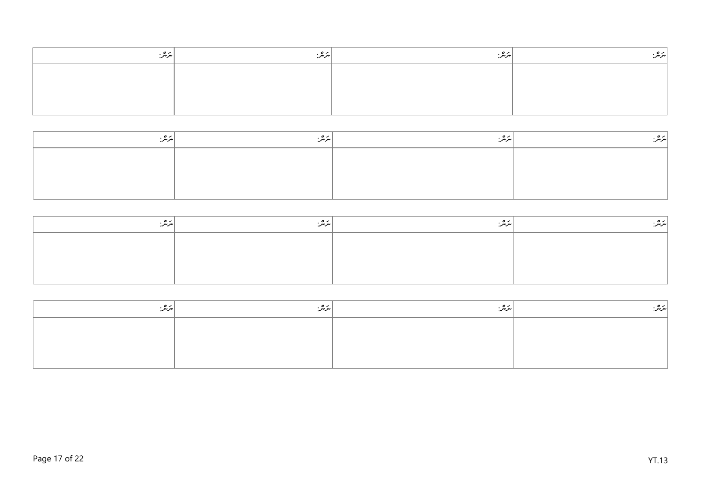| يره. | ο. | ا ير ه |  |
|------|----|--------|--|
|      |    |        |  |
|      |    |        |  |
|      |    |        |  |

| متريثر به | 。<br>'سرسر'۔ | يتزيترا | سرسر |
|-----------|--------------|---------|------|
|           |              |         |      |
|           |              |         |      |
|           |              |         |      |

| ىئرىتر. | $\sim$ | ا بر هه. | لىرىش |
|---------|--------|----------|-------|
|         |        |          |       |
|         |        |          |       |
|         |        |          |       |

| 。<br>مرس. | $\overline{\phantom{a}}$<br>مر مىر | يتريثر |
|-----------|------------------------------------|--------|
|           |                                    |        |
|           |                                    |        |
|           |                                    |        |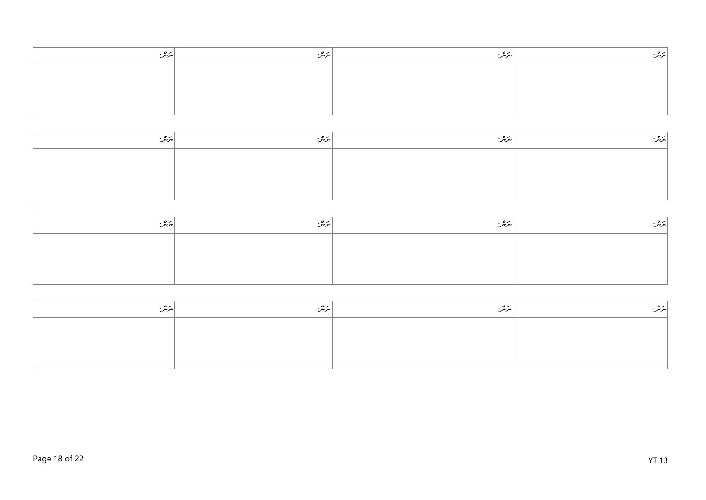| ير هو . | $\overline{\phantom{a}}$ | يرمر | اير هنه. |
|---------|--------------------------|------|----------|
|         |                          |      |          |
|         |                          |      |          |
|         |                          |      |          |

| ىر تىر: | $\circ$ $\sim$<br>" سرسر . | يترمير | o . |
|---------|----------------------------|--------|-----|
|         |                            |        |     |
|         |                            |        |     |
|         |                            |        |     |

| نتزيتر به | 。 | 。<br>سرسر. | o <i>~</i> |
|-----------|---|------------|------------|
|           |   |            |            |
|           |   |            |            |
|           |   |            |            |

|  | . ه |
|--|-----|
|  |     |
|  |     |
|  |     |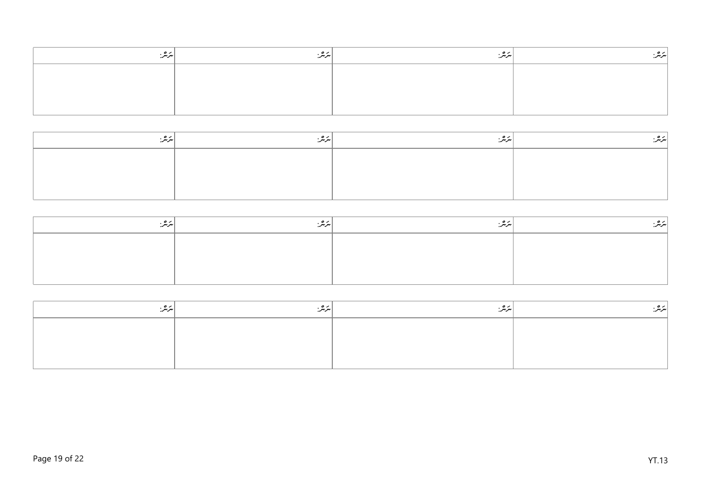| ير هو . | $\overline{\phantom{a}}$ | يرمر | اير هنه. |
|---------|--------------------------|------|----------|
|         |                          |      |          |
|         |                          |      |          |
|         |                          |      |          |

| ىر تىر: | $\circ$ $\sim$<br>" سرسر . | يترمير | o . |
|---------|----------------------------|--------|-----|
|         |                            |        |     |
|         |                            |        |     |
|         |                            |        |     |

| 'تترنثر: | . .<br>يسمونس. |  |
|----------|----------------|--|
|          |                |  |
|          |                |  |
|          |                |  |

|  | . ه |
|--|-----|
|  |     |
|  |     |
|  |     |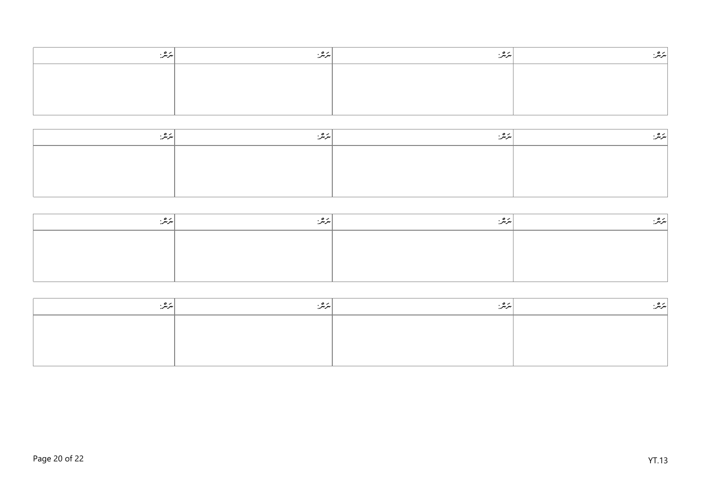| $\cdot$ | ο. | $\frac{\circ}{\cdot}$ | $\sim$<br>سرسر |
|---------|----|-----------------------|----------------|
|         |    |                       |                |
|         |    |                       |                |
|         |    |                       |                |

| يريثن | ' سرسر . |  |
|-------|----------|--|
|       |          |  |
|       |          |  |
|       |          |  |

| بر ه | 。 | $\overline{\phantom{0}}$<br>َ سومس. |  |
|------|---|-------------------------------------|--|
|      |   |                                     |  |
|      |   |                                     |  |
|      |   |                                     |  |

| 。<br>. س | ىرىىر |  |
|----------|-------|--|
|          |       |  |
|          |       |  |
|          |       |  |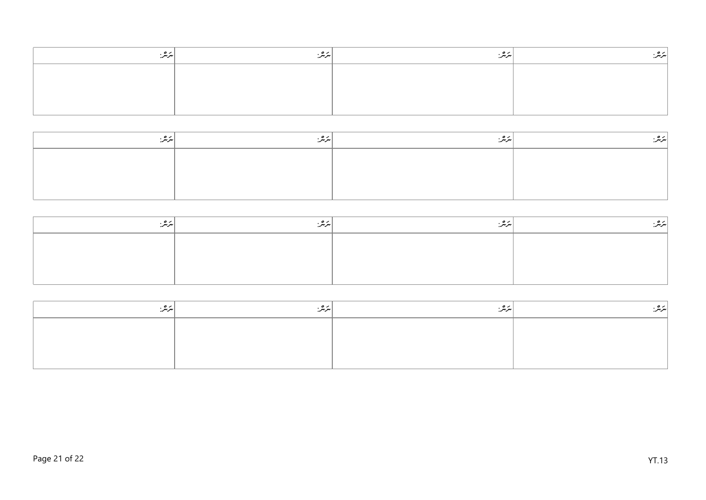| ير هو . | $\overline{\phantom{a}}$ | يرمر | اير هنه. |
|---------|--------------------------|------|----------|
|         |                          |      |          |
|         |                          |      |          |
|         |                          |      |          |

| ئىرتىر: | $\sim$<br>ا سرسر . | يئرمثر | o . |
|---------|--------------------|--------|-----|
|         |                    |        |     |
|         |                    |        |     |
|         |                    |        |     |

| انترنثر: | ر ه |  |
|----------|-----|--|
|          |     |  |
|          |     |  |
|          |     |  |

|  | . ه |
|--|-----|
|  |     |
|  |     |
|  |     |